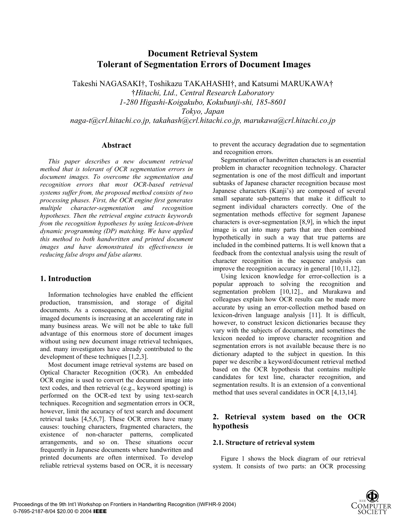# **Document Retrieval System Tolerant of Segmentation Errors of Document Images**

Takeshi NAGASAKI†, Toshikazu TAKAHASHI†, and Katsumi MARUKAWA† †*Hitachi, Ltd., Central Research Laboratory 1-280 Higashi-Koigakubo, Kokubunji-shi, 185-8601 Tokyo, Japan naga-t@crl.hitachi.co.jp, takahash@crl.hitachi.co.jp, marukawa@crl.hitachi.co.jp* 

#### **Abstract**

*This paper describes a new document retrieval method that is tolerant of OCR segmentation errors in document images. To overcome the segmentation and recognition errors that most OCR-based retrieval systems suffer from, the proposed method consists of two processing phases. First, the OCR engine first generates multiple character-segmentation and recognition hypotheses. Then the retrieval engine extracts keywords from the recognition hypotheses by using lexicon-driven dynamic programming (DP) matching. We have applied this method to both handwritten and printed document images and have demonstrated its effectiveness in reducing false drops and false alarms.* 

### **1. Introduction**

Information technologies have enabled the efficient production, transmission, and storage of digital documents. As a consequence, the amount of digital imaged documents is increasing at an accelerating rate in many business areas. We will not be able to take full advantage of this enormous store of document images without using new document image retrieval techniques, and. many investigators have already contributed to the development of these techniques [1,2,3].

Most document image retrieval systems are based on Optical Character Recognition (OCR). An embedded OCR engine is used to convert the document image into text codes, and then retrieval (e.g., keyword spotting) is performed on the OCR-ed text by using text-search techniques. Recognition and segmentation errors in OCR, however, limit the accuracy of text search and document retrieval tasks [4,5,6,7]. These OCR errors have many causes: touching characters, fragmented characters, the existence of non-character patterns, complicated arrangements, and so on. These situations occur frequently in Japanese documents where handwritten and printed documents are often intermixed. To develop reliable retrieval systems based on OCR, it is necessary

to prevent the accuracy degradation due to segmentation and recognition errors.

Segmentation of handwritten characters is an essential problem in character recognition technology. Character segmentation is one of the most difficult and important subtasks of Japanese character recognition because most Japanese characters (Kanji's) are composed of several small separate sub-patterns that make it difficult to segment individual characters correctly. One of the segmentation methods effective for segment Japanese characters is over-segmentation [8,9], in which the input image is cut into many parts that are then combined hypothetically in such a way that true patterns are included in the combined patterns. It is well known that a feedback from the contextual analysis using the result of character recognition in the sequence analysis can improve the recognition accuracy in general [10,11,12].

Using lexicon knowledge for error-collection is a popular approach to solving the recognition and segmentation problem [10,12]., and Murakawa and colleagues explain how OCR results can be made more accurate by using an error-collection method based on lexicon-driven language analysis [11]. It is difficult, however, to construct lexicon dictionaries because they vary with the subjects of documents, and sometimes the lexicon needed to improve character recognition and segmentation errors is not available because there is no dictionary adapted to the subject in question. In this paper we describe a keyword/document retrieval method based on the OCR hypothesis that contains multiple candidates for text line, character recognition, and segmentation results. It is an extension of a conventional method that uses several candidates in OCR [4,13,14].

# **2. Retrieval system based on the OCR hypothesis**

#### **2.1. Structure of retrieval system**

Figure 1 shows the block diagram of our retrieval system. It consists of two parts: an OCR processing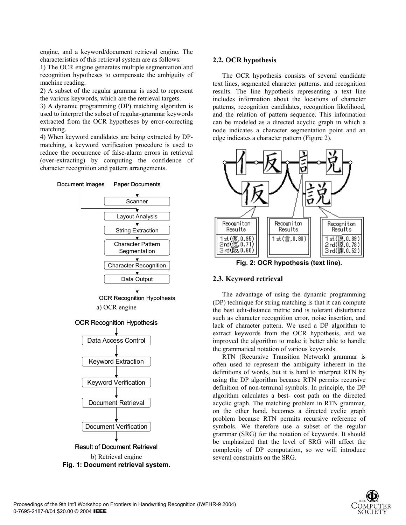engine, and a keyword/document retrieval engine. The characteristics of this retrieval system are as follows:

1) The OCR engine generates multiple segmentation and recognition hypotheses to compensate the ambiguity of machine reading.

2) A subset of the regular grammar is used to represent the various keywords, which are the retrieval targets.

3) A dynamic programming (DP) matching algorithm is used to interpret the subset of regular-grammar keywords extracted from the OCR hypotheses by error-correcting matching.

4) When keyword candidates are being extracted by DPmatching, a keyword verification procedure is used to reduce the occurrence of false-alarm errors in retrieval (over-extracting) by computing the confidence of character recognition and pattern arrangements.



### **2.2. OCR hypothesis**

The OCR hypothesis consists of several candidate text lines, segmented character patterns. and recognition results. The line hypothesis representing a text line includes information about the locations of character patterns, recognition candidates, recognition likelihood, and the relation of pattern sequence. This information can be modeled as a directed acyclic graph in which a node indicates a character segmentation point and an edge indicates a character pattern (Figure 2).



**Fig. 2: OCR hypothesis (text line).** 

# **2.3. Keyword retrieval**

The advantage of using the dynamic programming (DP) technique for string matching is that it can compute the best edit-distance metric and is tolerant disturbance such as character recognition error, noise insertion, and lack of character pattern. We used a DP algorithm to extract keywords from the OCR hypothesis, and we improved the algorithm to make it better able to handle the grammatical notation of various keywords.

RTN (Recursive Transition Network) grammar is often used to represent the ambiguity inherent in the definitions of words, but it is hard to interpret RTN by using the DP algorithm because RTN permits recursive definition of non-terminal symbols. In principle, the DP algorithm calculates a best- cost path on the directed acyclic graph. The matching problem in RTN grammar, on the other hand, becomes a directed cyclic graph problem because RTN permits recursive reference of symbols. We therefore use a subset of the regular grammar (SRG) for the notation of keywords. It should be emphasized that the level of SRG will affect the complexity of DP computation, so we will introduce several constraints on the SRG.

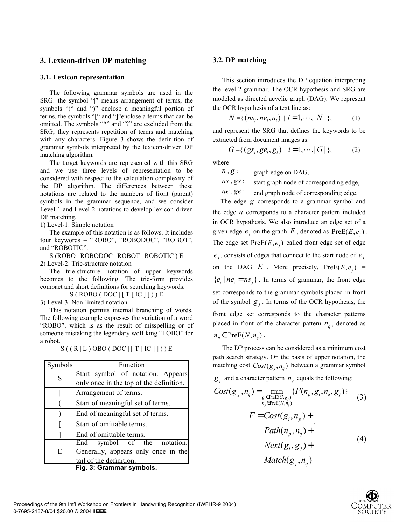# **3. Lexicon-driven DP matching**

# **3.1. Lexicon representation**

The following grammar symbols are used in the SRG: the symbol "|" means arrangement of terms, the symbols "(" and ")" enclose a meaningful portion of terms, the symbols "[" and "]"enclose a terms that can be omitted. The symbols "\*" and "?" are excluded from the SRG; they represents repetition of terms and matching with any characters. Figure 3 shows the definition of grammar symbols interpreted by the lexicon-driven DP matching algorithm.

The target keywords are represented with this SRG and we use three levels of representation to be considered with respect to the calculation complexity of the DP algorithm. The differences between these notations are related to the numbers of front (parent) symbols in the grammar sequence, and we consider Level-1 and Level-2 notations to develop lexicon-driven DP matching.

1) Level-1: Simple notation

The example of this notation is as follows. It includes four keywords – "ROBO", "ROBODOC", "ROBOT", and "ROBOTIC".

S (ROBO | ROBODOC | ROBOT | ROBOTIC ) E 2) Level-2: Trie-structure notation

The trie-structure notation of upper keywords becomes to the following. The trie-form provides compact and short definitions for searching keywords.

 $S ( ROBO ( DOC | [T [ IC ] ] )) E$ 

3) Level-3: Non-limited notation

This notation permits internal branching of words. The following example expresses the variation of a word "ROBO", which is as the result of misspelling or of someone mistaking the legendary wolf king "LOBO" for a robot.

| Symbols                  | Function                                |  |  |  |  |
|--------------------------|-----------------------------------------|--|--|--|--|
| S                        | Start symbol of notation. Appears       |  |  |  |  |
|                          | only once in the top of the definition. |  |  |  |  |
|                          | Arrangement of terms.                   |  |  |  |  |
|                          | Start of meaningful set of terms.       |  |  |  |  |
|                          | End of meaningful set of terms.         |  |  |  |  |
|                          | Start of omittable terms.               |  |  |  |  |
|                          | End of omittable terms.                 |  |  |  |  |
| E                        | End symbol of the notation.             |  |  |  |  |
|                          | Generally, appears only once in the     |  |  |  |  |
|                          | tail of the definition.                 |  |  |  |  |
| Fig. 3: Grammar symbols. |                                         |  |  |  |  |

 $S((R|L)$  OBO (DOC | [T [ IC ] ])) E

# **3.2. DP matching**

This section introduces the DP equation interpreting the level-2 grammar. The OCR hypothesis and SRG are modeled as directed acyclic graph (DAG). We represent the OCR hypothesis of a text line as:

$$
N = \{ (ns_i, ne_i, n_i) \mid i = 1, \cdots, |N| \},
$$
 (1)

and represent the SRG that defines the keywords to be extracted from document images as:

$$
G = \{ (gs_i, ge_i, g_i) \mid i = 1, \cdots, |G| \},
$$
 (2)

where

 $n, g$ : graph edge on DAG,

*ns*, *gs*: start graph node of corresponding edge,

*ne*,  $ge$ : end graph node of corresponding edge.

The edge *g* corresponds to a grammar symbol and the edge  $n$  corresponds to a character pattern included in OCR hypothesis. We also introduce an edge set of a given edge  $e_i$  on the graph  $E$ , denoted as  $PreE(E, e_i)$ . The edge set  $PreE(E, e_i)$  called front edge set of edge  $e_i$ , consists of edges that connect to the start node of  $e_i$ on the DAG  $E$ . More precisely,  $PreE(E, e_i)$  =  ${e_i \mid ne_i = ns_i}$ . In terms of grammar, the front edge set corresponds to the grammar symbols placed in front of the symbol  $g_i$ . In terms of the OCR hypothesis, the front edge set corresponds to the character patterns placed in front of the character pattern  $n_a$ , denoted as  $n_p \in \text{PreE}(N, n_q)$ .

The DP process can be considered as a minimum cost path search strategy. On the basis of upper notation, the matching cost  $Cost(g_i, n_a)$  between a grammar symbol

 $g_i$  and a character pattern  $n_q$  equals the following:

$$
Cost(g_j, n_q) = \min_{\substack{g_i \in \text{PreE}(G, g_j) \\ n_p \in \text{PreE}(N, n_q)}} \{F(n_p, g_i, n_q, g_j)\}
$$
\n
$$
F = Cost(g_i, n_p) +
$$
\n
$$
Path(n_p, n_q) +
$$
\n
$$
Next(g_i, g_j) +
$$
\n
$$
Match(g_j, n_q)
$$
\n(4)

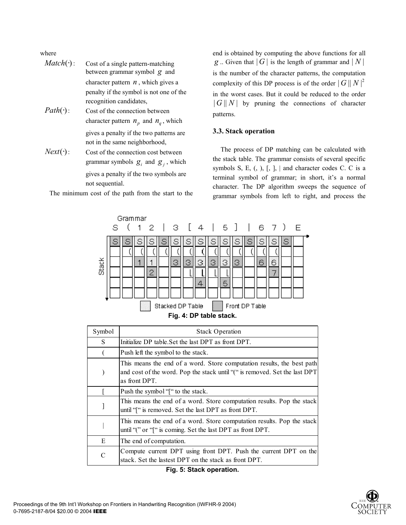where

- $Match(·):$  Cost of a single pattern-matching between grammar symbol *g* and character pattern  $n$ , which gives a penalty if the symbol is not one of the recognition candidates,
- $Path(\cdot): \qquad \text{Cost of the connection between}$ character pattern  $n<sub>n</sub>$  and  $n<sub>a</sub>$ , which gives a penalty if the two patterns are not in the same neighborhood,
- $Next(\cdot): \qquad \text{Cost of the connection cost between}$ grammar symbols  $g_i$  and  $g_j$ , which gives a penalty if the two symbols are not sequential.

The minimum cost of the path from the start to the

end is obtained by computing the above functions for all *g* .. Given that  $|G|$  is the length of grammar and  $|N|$ is the number of the character patterns, the computation complexity of this DP process is of the order  $|G||N|^2$ in the worst cases. But it could be reduced to the order  $||G||N||$  by pruning the connections of character patterns.

# **3.3. Stack operation**

The process of DP matching can be calculated with the stack table. The grammar consists of several specific symbols S, E,  $(, )$ ,  $[, ]$ ,  $]$  and character codes C. C is a terminal symbol of grammar; in short, it's a normal character. The DP algorithm sweeps the sequence of grammar symbols from left to right, and process the



| Symbol | <b>Stack Operation</b>                                                                                                                                                |
|--------|-----------------------------------------------------------------------------------------------------------------------------------------------------------------------|
| S      | Initialize DP table. Set the last DPT as front DPT.                                                                                                                   |
|        | Push left the symbol to the stack.                                                                                                                                    |
|        | This means the end of a word. Store computation results, the best path<br>and cost of the word. Pop the stack until "(" is removed. Set the last DPT<br>as front DPT. |
|        | Push the symbol "" to the stack.                                                                                                                                      |
|        | This means the end of a word. Store computation results. Pop the stack<br>until "[" is removed. Set the last DPT as front DPT.                                        |
|        | This means the end of a word. Store computation results. Pop the stack<br>until "(" or "[" is coming. Set the last DPT as front DPT.                                  |
| E      | The end of computation.                                                                                                                                               |
| C      | Compute current DPT using front DPT. Push the current DPT on the<br>stack. Set the lastest DPT on the stack as front DPT.                                             |

**Fig. 5: Stack operation.**

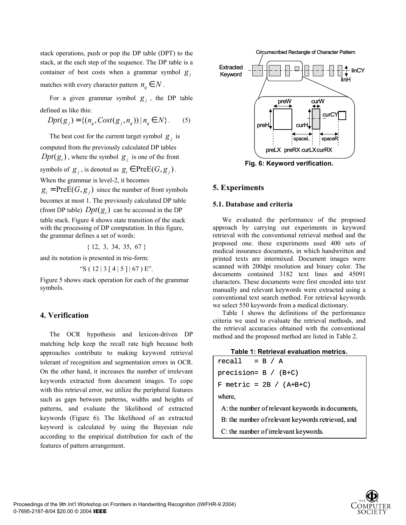stack operations, push or pop the DP table (DPT) to the stack, at the each step of the sequence. The DP table is a container of best costs when a grammar symbol  $g_i$ matches with every character pattern  $n_a \in N$ .

For a given grammar symbol  $g_i$ , the DP table defined as like this:

$$
Dpt(g_j) = \{ (n_q, Cost(g_j, n_q)) | n_q \in N \}.
$$
 (5)

The best cost for the current target symbol  $g_i$  is computed from the previously calculated DP tables  $Dpt(g_i)$ , where the symbol  $g_i$  is one of the front symbols of  $g_i$ , is denoted as  $g_i \in \text{PreE}(G, g_i)$ . When the grammar is level-2, it becomes

 $g_i = \text{PreE}(G, g_i)$  since the number of front symbols becomes at most 1. The previously calculated DP table (front DP table)  $Dpt(g_i)$  can be accessed in the DP table stack. Figure 4 shows state transition of the stack with the processing of DP computation. In this figure, the grammar defines a set of words:

{ 12, 3, 34, 35, 67 }

and its notation is presented in trie-form:

"S ( $12 | 3 [4 | 5 ] | 67$ ) E".

Figure 5 shows stack operation for each of the grammar symbols.

# **4. Verification**

The OCR hypothesis and lexicon-driven DP matching help keep the recall rate high because both approaches contribute to making keyword retrieval tolerant of recognition and segmentation errors in OCR. On the other hand, it increases the number of irrelevant keywords extracted from document images. To cope with this retrieval error, we utilize the peripheral features such as gaps between patterns, widths and heights of patterns, and evaluate the likelihood of extracted keywords (Figure 6). The likelihood of an extracted keyword is calculated by using the Bayesian rule according to the empirical distribution for each of the features of pattern arrangement.



**Fig. 6: Keyword verification.** 

# **5. Experiments**

### **5.1. Database and criteria**

We evaluated the performance of the proposed approach by carrying out experiments in keyword retrieval with the conventional retrieval method and the proposed one. these experiments used 400 sets of medical insurance documents, in which handwritten and printed texts are intermixed. Document images were scanned with 200dpi resolution and binary color. The documents contained 3182 text lines and 45091 characters. These documents were first encoded into text manually and relevant keywords were extracted using a conventional text search method. For retrieval keywords we select 550 keywords from a medical dictionary.

Table 1 shows the definitions of the performance criteria we used to evaluate the retrieval methods, and the retrieval accuracies obtained with the conventional method and the proposed method are listed in Table 2.

| Table 1: Retrieval evaluation metrics. |
|----------------------------------------|
|----------------------------------------|

| $recall = B / A$                                          |  |  |  |  |
|-----------------------------------------------------------|--|--|--|--|
| precision= $B / (B+C)$                                    |  |  |  |  |
| F metric = $2B / (A+B+C)$                                 |  |  |  |  |
| where,                                                    |  |  |  |  |
| A: the number of relevant keywords in documents,          |  |  |  |  |
| De the produce i furthermat become als activisments and i |  |  |  |  |

B: the number of relevant keywords retrieved, and

C: the number of irrelevant keywords.